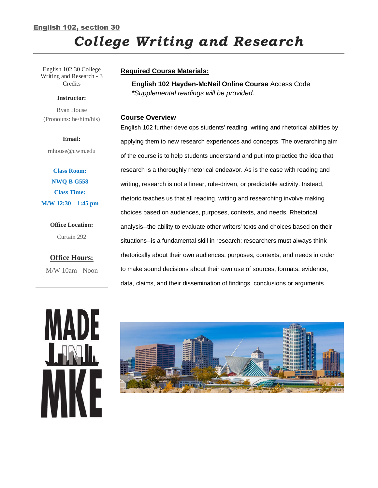# English 102, section 30 *College Writing and Research*

English 102.30 College Writing and Research - 3 **Credits** 

#### **Instructor:**

Ryan House (Pronouns: he/him/his)

#### **Email:**

rnhouse@uwm.edu

**Class Room: NWQ B G558 Class Time: M/W 12:30 – 1:45 pm**

> **Office Location:** Curtain 292

**Office Hours:** M/W 10am - Noon

## **Required Course Materials:**

**English 102 Hayden-McNeil Online Course** Access Code *\*Supplemental readings will be provided.*

#### **Course Overview**

English 102 further develops students' reading, writing and rhetorical abilities by applying them to new research experiences and concepts. The overarching aim of the course is to help students understand and put into practice the idea that research is a thoroughly rhetorical endeavor. As is the case with reading and writing, research is not a linear, rule-driven, or predictable activity. Instead, rhetoric teaches us that all reading, writing and researching involve making choices based on audiences, purposes, contexts, and needs. Rhetorical analysis--the ability to evaluate other writers' texts and choices based on their situations--is a fundamental skill in research: researchers must always think rhetorically about their own audiences, purposes, contexts, and needs in order to make sound decisions about their own use of sources, formats, evidence, data, claims, and their dissemination of findings, conclusions or arguments.



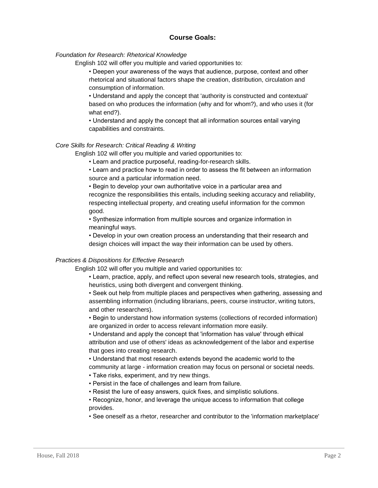# **Course Goals:**

## *Foundation for Research: Rhetorical Knowledge*

English 102 will offer you multiple and varied opportunities to:

• Deepen your awareness of the ways that audience, purpose, context and other rhetorical and situational factors shape the creation, distribution, circulation and consumption of information.

• Understand and apply the concept that 'authority is constructed and contextual' based on who produces the information (why and for whom?), and who uses it (for what end?).

• Understand and apply the concept that all information sources entail varying capabilities and constraints.

## *Core Skills for Research: Critical Reading & Writing*

English 102 will offer you multiple and varied opportunities to:

• Learn and practice purposeful, reading-for-research skills.

• Learn and practice how to read in order to assess the fit between an information source and a particular information need.

• Begin to develop your own authoritative voice in a particular area and recognize the responsibilities this entails, including seeking accuracy and reliability, respecting intellectual property, and creating useful information for the common good.

• Synthesize information from multiple sources and organize information in meaningful ways.

• Develop in your own creation process an understanding that their research and design choices will impact the way their information can be used by others.

## *Practices & Dispositions for Effective Research*

English 102 will offer you multiple and varied opportunities to:

• Learn, practice, apply, and reflect upon several new research tools, strategies, and heuristics, using both divergent and convergent thinking.

• Seek out help from multiple places and perspectives when gathering, assessing and assembling information (including librarians, peers, course instructor, writing tutors, and other researchers).

• Begin to understand how information systems (collections of recorded information) are organized in order to access relevant information more easily.

• Understand and apply the concept that 'information has value' through ethical attribution and use of others' ideas as acknowledgement of the labor and expertise that goes into creating research.

• Understand that most research extends beyond the academic world to the community at large - information creation may focus on personal or societal needs.

- Take risks, experiment, and try new things.
- Persist in the face of challenges and learn from failure.
- Resist the lure of easy answers, quick fixes, and simplistic solutions.

• Recognize, honor, and leverage the unique access to information that college provides.

• See oneself as a rhetor, researcher and contributor to the 'information marketplace'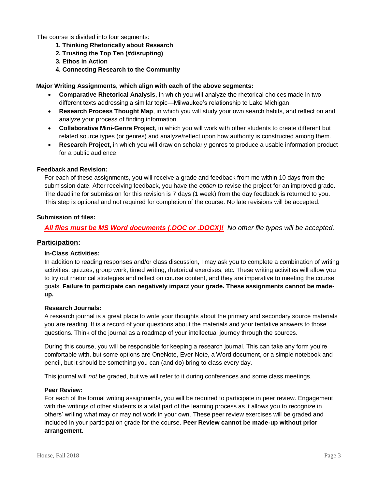The course is divided into four segments:

- **1. Thinking Rhetorically about Research**
- **2. Trusting the Top Ten (#disrupting)**
- **3. Ethos in Action**
- **4. Connecting Research to the Community**

## **Major Writing Assignments, which align with each of the above segments:**

- **Comparative Rhetorical Analysis**, in which you will analyze the rhetorical choices made in two different texts addressing a similar topic—Milwaukee's relationship to Lake Michigan.
- **Research Process Thought Map**, in which you will study your own search habits, and reflect on and analyze your process of finding information.
- **Collaborative Mini-Genre Project**, in which you will work with other students to create different but related source types (or genres) and analyze/reflect upon how authority is constructed among them.
- **Research Project,** in which you will draw on scholarly genres to produce a usable information product for a public audience.

#### **Feedback and Revision:**

For each of these assignments, you will receive a grade and feedback from me within 10 days from the submission date. After receiving feedback, you have the *option* to revise the project for an improved grade. The deadline for submission for this revision is 7 days (1 week) from the day feedback is returned to you. This step is optional and not required for completion of the course. No late revisions will be accepted.

## **Submission of files:**

# *All files must be MS Word documents (.DOC or .DOCX)! No other file types will be accepted.*

## **Participation:**

#### **In-Class Activities:**

In addition to reading responses and/or class discussion, I may ask you to complete a combination of writing activities: quizzes, group work, timed writing, rhetorical exercises, etc. These writing activities will allow you to try out rhetorical strategies and reflect on course content, and they are imperative to meeting the course goals. **Failure to participate can negatively impact your grade. These assignments cannot be madeup.**

#### **Research Journals:**

A research journal is a great place to write your thoughts about the primary and secondary source materials you are reading. It is a record of your questions about the materials and your tentative answers to those questions. Think of the journal as a roadmap of your intellectual journey through the sources.

During this course, you will be responsible for keeping a research journal. This can take any form you're comfortable with, but some options are OneNote, Ever Note, a Word document, or a simple notebook and pencil, but it should be something you can (and do) bring to class every day.

This journal will *not* be graded, but we will refer to it during conferences and some class meetings.

#### **Peer Review:**

For each of the formal writing assignments, you will be required to participate in peer review. Engagement with the writings of other students is a vital part of the learning process as it allows you to recognize in others' writing what may or may not work in your own. These peer review exercises will be graded and included in your participation grade for the course. **Peer Review cannot be made-up without prior arrangement.**